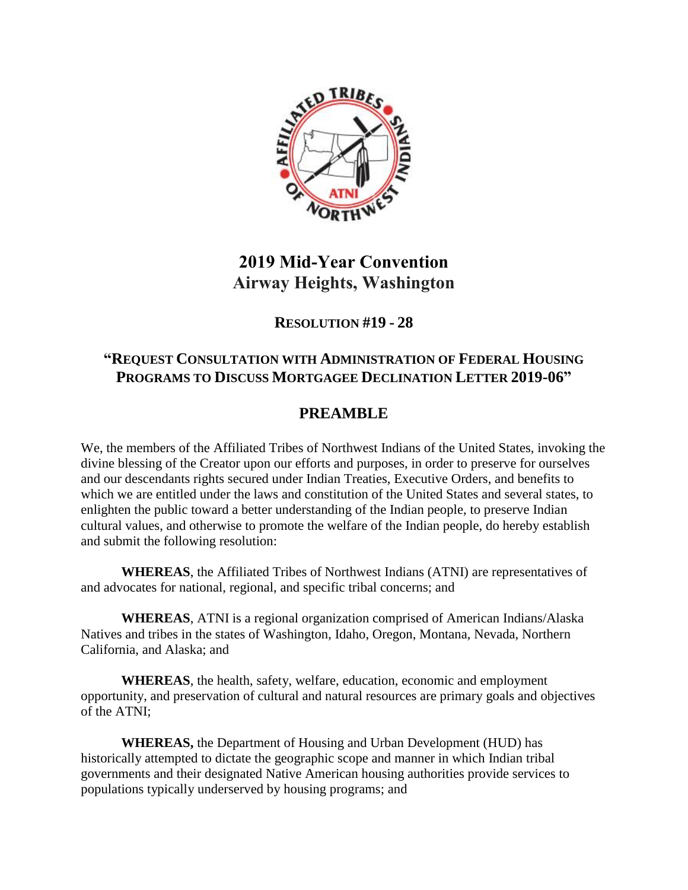

# **2019 Mid-Year Convention Airway Heights, Washington**

### **RESOLUTION #19 - 28**

#### **"REQUEST CONSULTATION WITH ADMINISTRATION OF FEDERAL HOUSING PROGRAMS TO DISCUSS MORTGAGEE DECLINATION LETTER 2019-06"**

## **PREAMBLE**

We, the members of the Affiliated Tribes of Northwest Indians of the United States, invoking the divine blessing of the Creator upon our efforts and purposes, in order to preserve for ourselves and our descendants rights secured under Indian Treaties, Executive Orders, and benefits to which we are entitled under the laws and constitution of the United States and several states, to enlighten the public toward a better understanding of the Indian people, to preserve Indian cultural values, and otherwise to promote the welfare of the Indian people, do hereby establish and submit the following resolution:

**WHEREAS**, the Affiliated Tribes of Northwest Indians (ATNI) are representatives of and advocates for national, regional, and specific tribal concerns; and

**WHEREAS**, ATNI is a regional organization comprised of American Indians/Alaska Natives and tribes in the states of Washington, Idaho, Oregon, Montana, Nevada, Northern California, and Alaska; and

**WHEREAS**, the health, safety, welfare, education, economic and employment opportunity, and preservation of cultural and natural resources are primary goals and objectives of the ATNI;

**WHEREAS,** the Department of Housing and Urban Development (HUD) has historically attempted to dictate the geographic scope and manner in which Indian tribal governments and their designated Native American housing authorities provide services to populations typically underserved by housing programs; and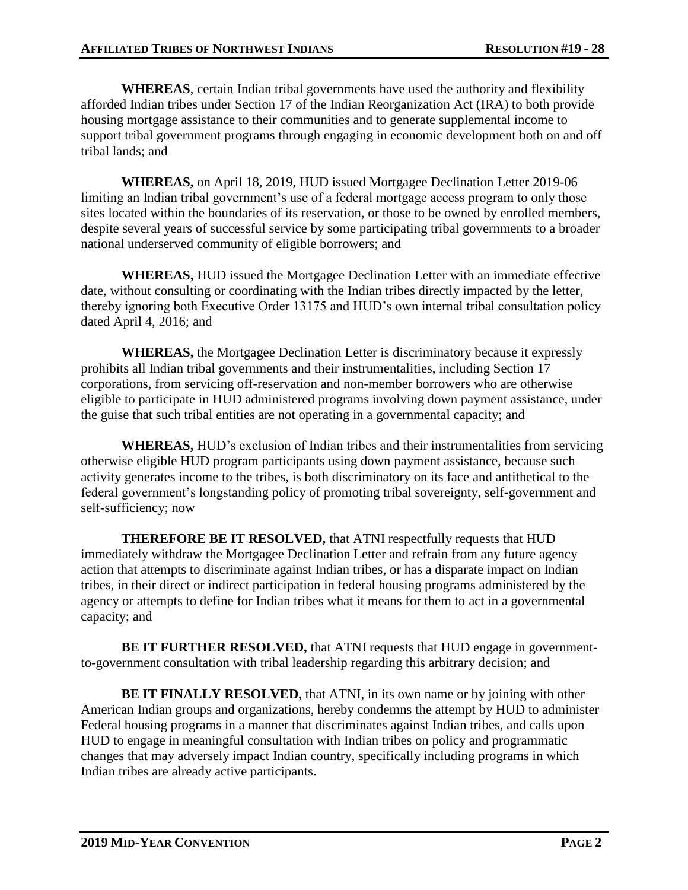**WHEREAS**, certain Indian tribal governments have used the authority and flexibility afforded Indian tribes under Section 17 of the Indian Reorganization Act (IRA) to both provide housing mortgage assistance to their communities and to generate supplemental income to support tribal government programs through engaging in economic development both on and off tribal lands; and

**WHEREAS,** on April 18, 2019, HUD issued Mortgagee Declination Letter 2019-06 limiting an Indian tribal government's use of a federal mortgage access program to only those sites located within the boundaries of its reservation, or those to be owned by enrolled members, despite several years of successful service by some participating tribal governments to a broader national underserved community of eligible borrowers; and

**WHEREAS,** HUD issued the Mortgagee Declination Letter with an immediate effective date, without consulting or coordinating with the Indian tribes directly impacted by the letter, thereby ignoring both Executive Order 13175 and HUD's own internal tribal consultation policy dated April 4, 2016; and

**WHEREAS,** the Mortgagee Declination Letter is discriminatory because it expressly prohibits all Indian tribal governments and their instrumentalities, including Section 17 corporations, from servicing off-reservation and non-member borrowers who are otherwise eligible to participate in HUD administered programs involving down payment assistance, under the guise that such tribal entities are not operating in a governmental capacity; and

**WHEREAS,** HUD's exclusion of Indian tribes and their instrumentalities from servicing otherwise eligible HUD program participants using down payment assistance, because such activity generates income to the tribes, is both discriminatory on its face and antithetical to the federal government's longstanding policy of promoting tribal sovereignty, self-government and self-sufficiency; now

**THEREFORE BE IT RESOLVED,** that ATNI respectfully requests that HUD immediately withdraw the Mortgagee Declination Letter and refrain from any future agency action that attempts to discriminate against Indian tribes, or has a disparate impact on Indian tribes, in their direct or indirect participation in federal housing programs administered by the agency or attempts to define for Indian tribes what it means for them to act in a governmental capacity; and

**BE IT FURTHER RESOLVED,** that ATNI requests that HUD engage in governmentto-government consultation with tribal leadership regarding this arbitrary decision; and

**BE IT FINALLY RESOLVED,** that ATNI, in its own name or by joining with other American Indian groups and organizations, hereby condemns the attempt by HUD to administer Federal housing programs in a manner that discriminates against Indian tribes, and calls upon HUD to engage in meaningful consultation with Indian tribes on policy and programmatic changes that may adversely impact Indian country, specifically including programs in which Indian tribes are already active participants.